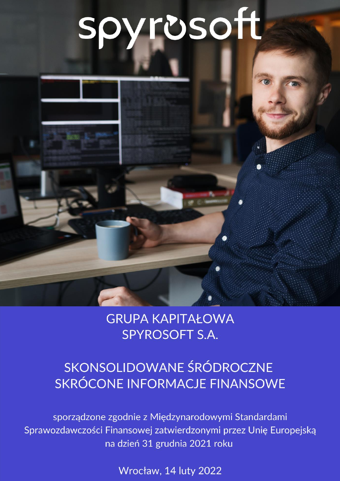# byrosoft



# **GRUPA KAPITAŁOWA** SPYROSOFT S.A.

# SKONSOLIDOWANE ŚRÓDROCZNE **SKRÓCONE INFORMACJE FINANSOWE**

sporządzone zgodnie z Międzynarodowymi Standardami Sprawozdawczości Finansowej zatwierdzonymi przez Unię Europejską na dzień 31 grudnia 2021 roku

Wrocław, 14 luty 2022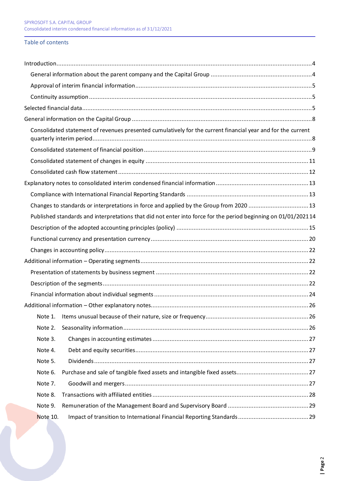#### Table of contents

|          | Consolidated statement of revenues presented cumulatively for the current financial year and for the current   |  |
|----------|----------------------------------------------------------------------------------------------------------------|--|
|          |                                                                                                                |  |
|          |                                                                                                                |  |
|          |                                                                                                                |  |
|          |                                                                                                                |  |
|          |                                                                                                                |  |
|          | Changes to standards or interpretations in force and applied by the Group from 2020 13                         |  |
|          | Published standards and interpretations that did not enter into force for the period beginning on 01/01/202114 |  |
|          |                                                                                                                |  |
|          |                                                                                                                |  |
|          |                                                                                                                |  |
|          |                                                                                                                |  |
|          |                                                                                                                |  |
|          |                                                                                                                |  |
|          |                                                                                                                |  |
|          |                                                                                                                |  |
|          |                                                                                                                |  |
| Note 2.  |                                                                                                                |  |
| Note 3.  |                                                                                                                |  |
| Note 4.  |                                                                                                                |  |
| Note 5.  |                                                                                                                |  |
| Note 6.  |                                                                                                                |  |
| Note 7.  |                                                                                                                |  |
| Note 8.  |                                                                                                                |  |
| Note 9.  |                                                                                                                |  |
| Note 10. |                                                                                                                |  |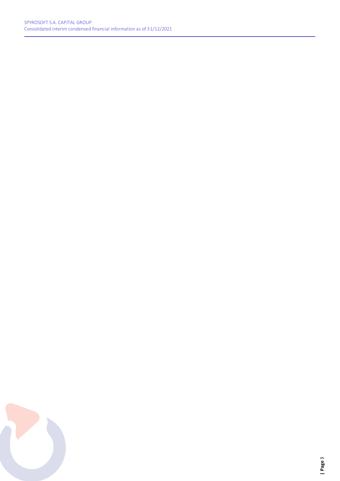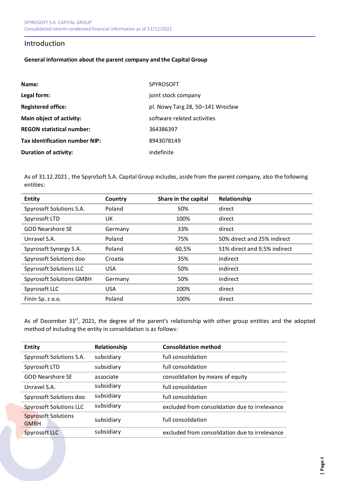# <span id="page-3-0"></span>Introduction

#### <span id="page-3-1"></span>**General information about the parent company and the Capital Group**

| Name:                                 | <b>SPYROSOFT</b>                 |
|---------------------------------------|----------------------------------|
| Legal form:                           | joint stock company              |
| <b>Registered office:</b>             | pl. Nowy Targ 28, 50-141 Wrocław |
| Main object of activity:              | software related activities      |
| <b>REGON statistical number:</b>      | 364386397                        |
| <b>Tax identification number NIP:</b> | 8943078149                       |
| <b>Duration of activity:</b>          | indefinite                       |

As of 31.12.2021 , the SpyroSoft S.A. Capital Group includes, aside from the parent company, also the following entities:

| <b>Entity</b>                   | Country    | Share in the capital | Relationship                 |
|---------------------------------|------------|----------------------|------------------------------|
| Spyrosoft Solutions S.A.        | Poland     | 50%                  | direct                       |
| Spyrosoft LTD                   | UK         | 100%                 | direct                       |
| <b>GOD Nearshore SE</b>         | Germany    | 33%                  | direct                       |
| Unravel S.A.                    | Poland     | 75%                  | 50% direct and 25% indirect  |
| Spyrosoft Synergy S.A.          | Poland     | 60,5%                | 51% direct and 9,5% indirect |
| Spyrosoft Solutions doo         | Croatia    | 35%                  | indirect                     |
| <b>Spyrosoft Solutions LLC</b>  | <b>USA</b> | 50%                  | indirect                     |
| <b>Spyrosoft Solutions GMBH</b> | Germany    | 50%                  | indirect                     |
| Spyrosoft LLC                   | <b>USA</b> | 100%                 | direct                       |
| Finin Sp. z o.o.                | Poland     | 100%                 | direct                       |

As of December 31<sup>st</sup>, 2021, the degree of the parent's relationship with other group entities and the adopted method of including the entity in consolidation is as follows:

| <b>Entity</b>                             | Relationship | <b>Consolidation method</b>                    |
|-------------------------------------------|--------------|------------------------------------------------|
| Spyrosoft Solutions S.A.                  | subsidiary   | full consolidation                             |
| Spyrosoft LTD                             | subsidiary   | full consolidation                             |
| <b>GOD Nearshore SE</b>                   | associate    | consolidation by means of equity               |
| Unravel S.A.                              | subsidiary   | full consolidation                             |
| Spyrosoft Solutions doo                   | subsidiary   | full consolidation                             |
| <b>Spyrosoft Solutions LLC</b>            | subsidiary   | excluded from consolidation due to irrelevance |
| <b>Spyrosoft Solutions</b><br><b>GMBH</b> | subsidiary   | full consolidation                             |
| Spyrosoft LLC                             | subsidiary   | excluded from consolidation due to irrelevance |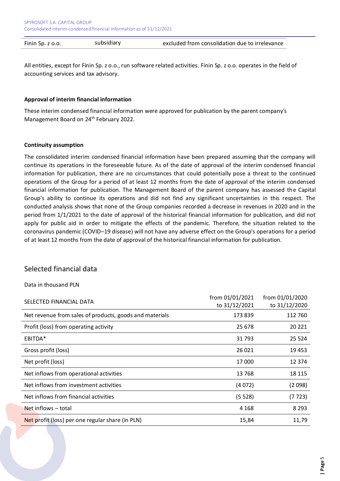| Finin Sp. z o.o. | subsidiary | excluded from consolidation due to irrelevance |
|------------------|------------|------------------------------------------------|
|------------------|------------|------------------------------------------------|

All entities, except for Finin Sp. z o.o., run software related activities. Finin Sp. z o.o. operates in the field of accounting services and tax advisory.

#### <span id="page-4-0"></span>**Approval of interim financial information**

These interim condensed financial information were approved for publication by the parent company's Management Board on 24<sup>th</sup> February 2022.

#### <span id="page-4-1"></span>**Continuity assumption**

The consolidated interim condensed financial information have been prepared assuming that the company will continue its operations in the foreseeable future. As of the date of approval of the interim condensed financial information for publication, there are no circumstances that could potentially pose a threat to the continued operations of the Group for a period of at least 12 months from the date of approval of the interim condensed financial information for publication. The Management Board of the parent company has assessed the Capital Group's ability to continue its operations and did not find any significant uncertainties in this respect. The conducted analysis shows that none of the Group companies recorded a decrease in revenues in 2020 and in the period from 1/1/2021 to the date of approval of the historical financial information for publication, and did not apply for public aid in order to mitigate the effects of the pandemic. Therefore, the situation related to the coronavirus pandemic (COVID–19 disease) will not have any adverse effect on the Group's operations for a period of at least 12 months from the date of approval of the historical financial information for publication.

## <span id="page-4-2"></span>Selected financial data

#### Data in thousand PLN

| SELECTED FINANCIAL DATA                                 | from 01/01/2021<br>to 31/12/2021 | from 01/01/2020<br>to 31/12/2020 |
|---------------------------------------------------------|----------------------------------|----------------------------------|
| Net revenue from sales of products, goods and materials | 173839                           | 112 760                          |
| Profit (loss) from operating activity                   | 25 678                           | 20 221                           |
| EBITDA*                                                 | 31 793                           | 25 5 24                          |
| Gross profit (loss)                                     | 26 0 21                          | 19 453                           |
| Net profit (loss)                                       | 17 000                           | 12 3 74                          |
| Net inflows from operational activities                 | 13768                            | 18 1 15                          |
| Net inflows from investment activities                  | (4 072)                          | (2098)                           |
| Net inflows from financial activities                   | (5528)                           | (7723)                           |
| Net inflows $-$ total                                   | 4 1 6 8                          | 8 2 9 3                          |
| Net profit (loss) per one regular share (in PLN)        | 15,84                            | 11,79                            |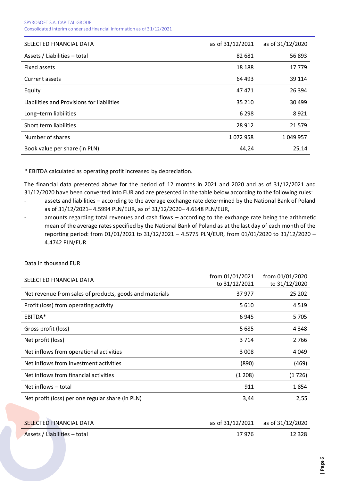| SELECTED FINANCIAL DATA                    | as of 31/12/2021 | as of 31/12/2020 |
|--------------------------------------------|------------------|------------------|
| Assets / Liabilities - total               | 82 681           | 56 893           |
| Fixed assets                               | 18 18 8          | 17779            |
| Current assets                             | 64 493           | 39 114           |
| Equity                                     | 47471            | 26 394           |
| Liabilities and Provisions for liabilities | 35 210           | 30 499           |
| Long-term liabilities                      | 6 2 9 8          | 8921             |
| Short term liabilities                     | 28 9 12          | 21 5 7 9         |
| Number of shares                           | 1072958          | 1 049 957        |
| Book value per share (in PLN)              | 44,24            | 25,14            |

\* EBITDA calculated as operating profit increased by depreciation.

The financial data presented above for the period of 12 months in 2021 and 2020 and as of 31/12/2021 and 31/12/2020 have been converted into EUR and are presented in the table below according to the following rules:

assets and liabilities - according to the average exchange rate determined by the National Bank of Poland as of 31/12/2021– 4.5994 PLN/EUR, as of 31/12/2020– 4.6148 PLN/EUR,

amounts regarding total revenues and cash flows - according to the exchange rate being the arithmetic mean of the average rates specified by the National Bank of Poland as at the last day of each month of the reporting period: from 01/01/2021 to 31/12/2021 – 4.5775 PLN/EUR, from 01/01/2020 to 31/12/2020 – 4.4742 PLN/EUR.

#### Data in thousand EUR

| SELECTED FINANCIAL DATA                                 | from 01/01/2021<br>to 31/12/2021 | from 01/01/2020<br>to 31/12/2020 |
|---------------------------------------------------------|----------------------------------|----------------------------------|
| Net revenue from sales of products, goods and materials | 37 977                           | 25 202                           |
| Profit (loss) from operating activity                   | 5 6 1 0                          | 4 5 1 9                          |
| EBITDA*                                                 | 6945                             | 5 7 0 5                          |
| Gross profit (loss)                                     | 5685                             | 4 3 4 8                          |
| Net profit (loss)                                       | 3 7 1 4                          | 2766                             |
| Net inflows from operational activities                 | 3 0 0 8                          | 4 0 4 9                          |
| Net inflows from investment activities                  | (890)                            | (469)                            |
| Net inflows from financial activities                   | (1208)                           | (1726)                           |
| Net inflows – total                                     | 911                              | 1854                             |
| Net profit (loss) per one regular share (in PLN)        | 3,44                             | 2,55                             |

| SELECTED FINANCIAL DATA      |        | as of 31/12/2021 as of 31/12/2020 |
|------------------------------|--------|-----------------------------------|
| Assets / Liabilities - total | 17 976 | 12 328                            |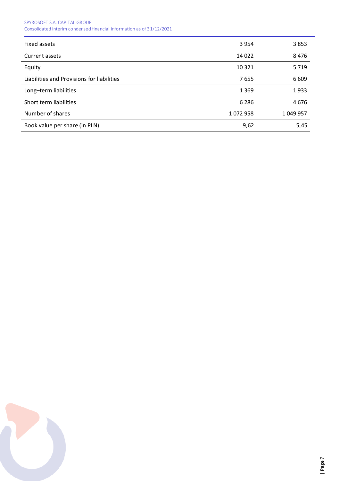| SPYROSOFT S.A. CAPITAL GROUP                                          |  |
|-----------------------------------------------------------------------|--|
| Consolidated interim condensed financial information as of 31/12/2021 |  |

| Fixed assets                               | 3954     | 3853      |
|--------------------------------------------|----------|-----------|
| Current assets                             | 14 0 22  | 8476      |
| Equity                                     | 10 3 2 1 | 5 7 1 9   |
| Liabilities and Provisions for liabilities | 7655     | 6 6 0 9   |
| Long-term liabilities                      | 1 3 6 9  | 1933      |
| Short term liabilities                     | 6 2 8 6  | 4676      |
| Number of shares                           | 1072958  | 1 049 957 |
| Book value per share (in PLN)              | 9,62     | 5,45      |

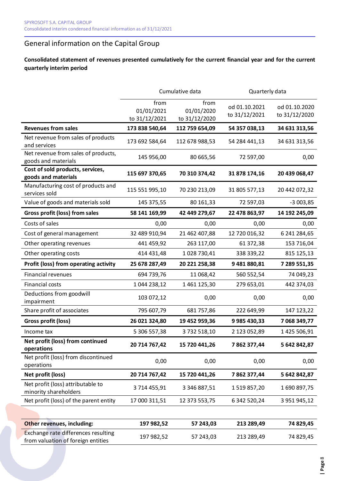# <span id="page-7-0"></span>General information on the Capital Group

<span id="page-7-1"></span>**Consolidated statement of revenues presented cumulatively for the current financial year and for the current quarterly interim period**

|                                                            | Cumulative data                     |                                     | Quarterly data                 |                                |
|------------------------------------------------------------|-------------------------------------|-------------------------------------|--------------------------------|--------------------------------|
|                                                            | from<br>01/01/2021<br>to 31/12/2021 | from<br>01/01/2020<br>to 31/12/2020 | od 01.10.2021<br>to 31/12/2021 | od 01.10.2020<br>to 31/12/2020 |
| <b>Revenues from sales</b>                                 | 173 838 540,64                      | 112 759 654,09                      | 54 357 038,13                  | 34 631 313,56                  |
| Net revenue from sales of products<br>and services         | 173 692 584,64                      | 112 678 988,53                      | 54 284 441,13                  | 34 631 313,56                  |
| Net revenue from sales of products,<br>goods and materials | 145 956,00                          | 80 665,56                           | 72 597,00                      | 0,00                           |
| Cost of sold products, services,<br>goods and materials    | 115 697 370,65                      | 70 310 374,42                       | 31 878 174,16                  | 20 439 068,47                  |
| Manufacturing cost of products and<br>services sold        | 115 551 995,10                      | 70 230 213,09                       | 31 805 577,13                  | 20 442 072,32                  |
| Value of goods and materials sold                          | 145 375,55                          | 80 161,33                           | 72 597,03                      | $-3003,85$                     |
| <b>Gross profit (loss) from sales</b>                      | 58 141 169,99                       | 42 449 279,67                       | 22 478 863,97                  | 14 192 245,09                  |
| Costs of sales                                             | 0,00                                | 0,00                                | 0,00                           | 0,00                           |
| Cost of general management                                 | 32 489 910,94                       | 21 462 407,88                       | 12 720 016,32                  | 6 241 284,65                   |
| Other operating revenues                                   | 441 459,92                          | 263 117,00                          | 61 372,38                      | 153 716,04                     |
| Other operating costs                                      | 414 431,48                          | 1028 730,41                         | 338 339,22                     | 815 125,13                     |
| Profit (loss) from operating activity                      | 25 678 287,49                       | 20 221 258,38                       | 9 481 880,81                   | 7 289 551,35                   |
| <b>Financial revenues</b>                                  | 694 739,76                          | 11 068,42                           | 560 552,54                     | 74 049,23                      |
| Financial costs                                            | 1 044 238,12                        | 1461125,30                          | 279 653,01                     | 442 374,03                     |
| Deductions from goodwill<br>impairment                     | 103 072,12                          | 0,00                                | 0,00                           | 0,00                           |
| Share profit of associates                                 | 795 607,79                          | 681 757,86                          | 222 649,99                     | 147 123,22                     |
| Gross profit (loss)                                        | 26 021 324,80                       | 19 452 959,36                       | 9 985 430,33                   | 7 068 349,77                   |
| Income tax                                                 | 5 306 557,38                        | 3732518,10                          | 2 123 052,89                   | 1 425 506,91                   |
| Net profit (loss) from continued<br>operations             | 20 714 767,42                       | 15 720 441,26                       | 7 862 377,44                   | 5 642 842,87                   |
| Net profit (loss) from discontinued<br>operations          | 0,00                                | 0,00                                | 0,00                           | 0,00                           |
| Net profit (loss)                                          | 20 714 767,42                       | 15 720 441,26                       | 7862377,44                     | 5 642 842,87                   |
| Net profit (loss) attributable to<br>minority shareholders | 3 714 455,91                        | 3 346 887,51                        | 1 519 857,20                   | 1690897,75                     |
| Net profit (loss) of the parent entity                     | 17 000 311,51                       | 12 373 553,75                       | 6 342 520,24                   | 3 951 945,12                   |
|                                                            |                                     |                                     |                                |                                |
| <b>Other revenues, including:</b>                          | 197 982,52                          | 57 243,03                           | 213 289,49                     | 74 829,45                      |
| Exchange rate differences resulting                        | 1070025                             | C CAC CI                            | <b>212 200 10</b>              | 7102015                        |

Exchange rate direferres resulting the 197 982,52 57 243,03 213 289,49 74 829,45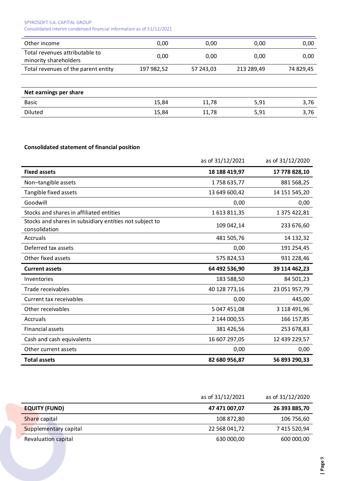| Other income                                            | 0.00       | 0.00      | 0,00       | 0.00      |
|---------------------------------------------------------|------------|-----------|------------|-----------|
| Total revenues attributable to<br>minority shareholders | 0.00       | 0.00      | 0.00       | 0.00      |
| Total revenues of the parent entity                     | 197 982,52 | 57 243,03 | 213 289,49 | 74 829.45 |
|                                                         |            |           |            |           |

| Net earnings per share |       |       |      |      |
|------------------------|-------|-------|------|------|
| Basic                  | 15,84 | 11,78 | 5,91 | 3,76 |
| <b>Diluted</b>         | 15,84 | 11,78 | 5,91 | 3,76 |

#### <span id="page-8-0"></span>**Consolidated statement of financial position**

|                                                                          | as of 31/12/2021 | as of 31/12/2020 |
|--------------------------------------------------------------------------|------------------|------------------|
| <b>Fixed assets</b>                                                      | 18 188 419,97    | 17 778 828,10    |
| Non-tangible assets                                                      | 1758 635,77      | 881 568,25       |
| Tangible fixed assets                                                    | 13 649 600,42    | 14 151 545,20    |
| Goodwill                                                                 | 0,00             | 0,00             |
| Stocks and shares in affiliated entities                                 | 1613811,35       | 1 375 422,81     |
| Stocks and shares in subsidiary entities not subject to<br>consolidation | 109 042,14       | 233 676,60       |
| Accruals                                                                 | 481 505,76       | 14 132,32        |
| Deferred tax assets                                                      | 0,00             | 191 254,45       |
| Other fixed assets                                                       | 575 824,53       | 931 228,46       |
| <b>Current assets</b>                                                    | 64 492 536,90    | 39 114 462,23    |
| Inventories                                                              | 183 588,50       | 84 501,23        |
| Trade receivables                                                        | 40 128 773,16    | 23 051 957,79    |
| Current tax receivables                                                  | 0,00             | 445,00           |
| Other receivables                                                        | 5 047 451,08     | 3 118 491,96     |
| Accruals                                                                 | 2 144 000,55     | 166 157,85       |
| <b>Financial assets</b>                                                  | 381 426,56       | 253 678,83       |
| Cash and cash equivalents                                                | 16 607 297,05    | 12 439 229,57    |
| Other current assets                                                     | 0,00             | 0,00             |
| <b>Total assets</b>                                                      | 82 680 956,87    | 56 893 290,33    |

|                       | as of 31/12/2021 | as of 31/12/2020 |
|-----------------------|------------------|------------------|
| <b>EQUITY (FUND)</b>  | 47 471 007,07    | 26 393 885,70    |
| Share capital         | 108 872,80       | 106 756,60       |
| Supplementary capital | 22 568 041,72    | 7 415 520,94     |
| Revaluation capital   | 630 000,00       | 600 000,00       |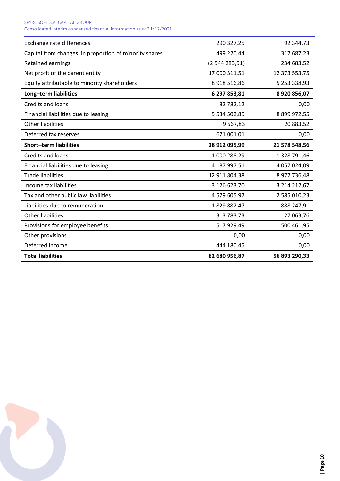| Exchange rate differences                             | 290 327,25    | 92 344,73     |
|-------------------------------------------------------|---------------|---------------|
| Capital from changes in proportion of minority shares | 499 220,44    | 317 687,23    |
| Retained earnings                                     | (2544283,51)  | 234 683,52    |
| Net profit of the parent entity                       | 17 000 311,51 | 12 373 553,75 |
| Equity attributable to minority shareholders          | 8 918 516,86  | 5 253 338,93  |
| Long-term liabilities                                 | 6 297 853,81  | 8 920 856,07  |
| Credits and loans                                     | 82 782,12     | 0,00          |
| Financial liabilities due to leasing                  | 5 534 502,85  | 8 899 972,55  |
| <b>Other liabilities</b>                              | 9 5 6 7, 8 3  | 20 883,52     |
| Deferred tax reserves                                 | 671 001,01    | 0,00          |
| <b>Short-term liabilities</b>                         | 28 912 095,99 | 21 578 548,56 |
| Credits and loans                                     | 1 000 288,29  | 1 328 791,46  |
| Financial liabilities due to leasing                  | 4 187 997,51  | 4 057 024,09  |
| <b>Trade liabilities</b>                              | 12 911 804,38 | 8 977 736,48  |
| Income tax liabilities                                | 3 126 623,70  | 3 214 212,67  |
| Tax and other public law liabilities                  | 4 579 605,97  | 2 585 010,23  |
| Liabilities due to remuneration                       | 1829882,47    | 888 247,91    |
| <b>Other liabilities</b>                              | 313 783,73    | 27 063,76     |
| Provisions for employee benefits                      | 517 929,49    | 500 461,95    |
| Other provisions                                      | 0,00          | 0,00          |
| Deferred income                                       | 444 180,45    | 0,00          |
| <b>Total liabilities</b>                              | 82 680 956,87 | 56 893 290,33 |

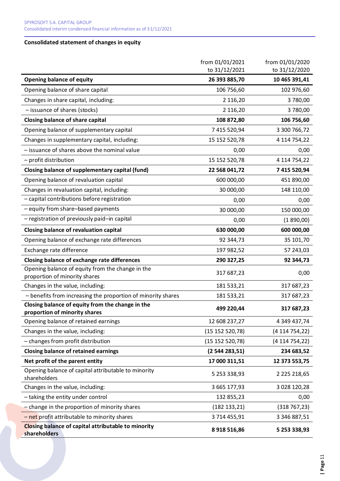# <span id="page-10-0"></span>**Consolidated statement of changes in equity**

|                                                                                   | from 01/01/2021                | from 01/01/2020                |
|-----------------------------------------------------------------------------------|--------------------------------|--------------------------------|
| <b>Opening balance of equity</b>                                                  | to 31/12/2021<br>26 393 885,70 | to 31/12/2020<br>10 465 391,41 |
|                                                                                   | 106 756,60                     |                                |
| Opening balance of share capital                                                  |                                | 102 976,60                     |
| Changes in share capital, including:                                              | 2 116,20                       | 3780,00                        |
| - issuance of shares (stocks)                                                     | 2 116,20                       | 3780,00                        |
| <b>Closing balance of share capital</b>                                           | 108 872,80                     | 106 756,60                     |
| Opening balance of supplementary capital                                          | 7 415 520,94                   | 3 300 766,72                   |
| Changes in supplementary capital, including:                                      | 15 152 520,78                  | 4 114 754,22                   |
| - issuance of shares above the nominal value                                      | 0,00                           | 0,00                           |
| - profit distribution                                                             | 15 152 520,78                  | 4 114 754,22                   |
| <b>Closing balance of supplementary capital (fund)</b>                            | 22 568 041,72                  | 7 415 520,94                   |
| Opening balance of revaluation capital                                            | 600 000,00                     | 451 890,00                     |
| Changes in revaluation capital, including:                                        | 30 000,00                      | 148 110,00                     |
| - capital contributions before registration                                       | 0,00                           | 0,00                           |
| - equity from share-based payments                                                | 30 000,00                      | 150 000,00                     |
| - registration of previously paid-in capital                                      | 0,00                           | (1890,00)                      |
| <b>Closing balance of revaluation capital</b>                                     | 630 000,00                     | 600 000,00                     |
| Opening balance of exchange rate differences                                      | 92 344,73                      | 35 101,70                      |
| Exchange rate difference                                                          | 197 982,52                     | 57 243,03                      |
| <b>Closing balance of exchange rate differences</b>                               | 290 327,25                     | 92 344,73                      |
| Opening balance of equity from the change in the<br>proportion of minority shares | 317 687,23                     | 0,00                           |
| Changes in the value, including:                                                  | 181 533,21                     | 317 687,23                     |
| - benefits from increasing the proportion of minority shares                      | 181 533,21                     | 317 687,23                     |
| Closing balance of equity from the change in the<br>proportion of minority shares | 499 220,44                     | 317 687,23                     |
| Opening balance of retained earnings                                              | 12 608 237,27                  | 4 349 437,74                   |
| Changes in the value, including:                                                  | (15 152 520, 78)               | (4114754,22)                   |
| - changes from profit distribution                                                | (15 152 520, 78)               | (4114754,22)                   |
| <b>Closing balance of retained earnings</b>                                       | (2544283,51)                   | 234 683,52                     |
| Net profit of the parent entity                                                   | 17 000 311,51                  | 12 373 553,75                  |
| Opening balance of capital attributable to minority<br>shareholders               | 5 253 338,93                   | 2 2 2 2 1 8 , 6 5              |
| Changes in the value, including:                                                  | 3 665 177,93                   | 3 028 120,28                   |
| - taking the entity under control                                                 | 132 855,23                     | 0,00                           |
| - change in the proportion of minority shares                                     | (182 133,21)                   | (318767, 23)                   |
| - net profit attributable to minority shares                                      | 3 714 455,91                   | 3 346 887,51                   |
| <b>Closing balance of capital attributable to minority</b><br>shareholders        | 8 918 516,86                   | 5 253 338,93                   |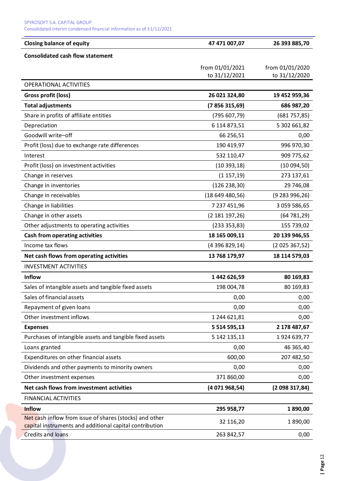<span id="page-11-0"></span>

| <b>Closing balance of equity</b>                                                                                   | 47 471 007,07                    | 26 393 885,70                    |
|--------------------------------------------------------------------------------------------------------------------|----------------------------------|----------------------------------|
| <b>Consolidated cash flow statement</b>                                                                            |                                  |                                  |
|                                                                                                                    |                                  |                                  |
|                                                                                                                    | from 01/01/2021<br>to 31/12/2021 | from 01/01/2020<br>to 31/12/2020 |
| OPERATIONAL ACTIVITIES                                                                                             |                                  |                                  |
| Gross profit (loss)                                                                                                | 26 021 324,80                    | 19 452 959,36                    |
| <b>Total adjustments</b>                                                                                           | (7856315,69)                     | 686 987,20                       |
| Share in profits of affiliate entities                                                                             | (795607,79)                      | (681757,85)                      |
| Depreciation                                                                                                       | 6 114 873,51                     | 5 302 661,82                     |
| Goodwill write-off                                                                                                 | 66 256,51                        | 0,00                             |
| Profit (loss) due to exchange rate differences                                                                     | 190 419,97                       | 996 970,30                       |
| Interest                                                                                                           | 532 110,47                       | 909 775,62                       |
| Profit (loss) on investment activities                                                                             | (10393, 18)                      | (10094, 50)                      |
| Change in reserves                                                                                                 | (1157, 19)                       | 273 137,61                       |
| Change in inventories                                                                                              | (126 238, 30)                    | 29 746,08                        |
| Change in receivables                                                                                              | (18649480,56)                    | (9 283 996, 26)                  |
| Change in liabilities                                                                                              | 7 237 451,96                     | 3 059 586,65                     |
| Change in other assets                                                                                             | (2 181 197, 26)                  | (64781,29)                       |
| Other adjustments to operating activities                                                                          | (233 353, 83)                    | 155 739,02                       |
| <b>Cash from operating activities</b>                                                                              | 18 165 009,11                    | 20 139 946,55                    |
| Income tax flows                                                                                                   | (4396829, 14)                    | (2025367,52)                     |
| Net cash flows from operating activities                                                                           | 13 768 179,97                    | 18 114 579,03                    |
| <b>INVESTMENT ACTIVITIES</b>                                                                                       |                                  |                                  |
| Inflow                                                                                                             | 1 442 626,59                     | 80 169,83                        |
| Sales of intangible assets and tangible fixed assets                                                               | 198 004,78                       | 80 169,83                        |
| Sales of financial assets                                                                                          | 0,00                             | 0,00                             |
| Repayment of given loans                                                                                           | 0,00                             | 0,00                             |
| Other investment inflows                                                                                           | 1 244 621,81                     | 0,00                             |
| <b>Expenses</b>                                                                                                    | 5 5 14 5 9 5 , 13                | 2 178 487,67                     |
| Purchases of intangible assets and tangible fixed assets                                                           | 5 142 135,13                     | 1924 639,77                      |
| Loans granted                                                                                                      | 0,00                             | 46 365,40                        |
| Expenditures on other financial assets                                                                             | 600,00                           | 207 482,50                       |
| Dividends and other payments to minority owners                                                                    | 0,00                             | 0,00                             |
| Other investment expenses                                                                                          | 371 860,00                       | 0,00                             |
| Net cash flows from investment activities                                                                          | (4071968,54)                     | (2098317,84)                     |
| <b>FINANCIAL ACTIVITIES</b>                                                                                        |                                  |                                  |
| <b>Inflow</b>                                                                                                      | 295 958,77                       | 1890,00                          |
| Net cash inflow from issue of shares (stocks) and other<br>capital instruments and additional capital contribution | 32 116,20                        | 1890,00                          |
| <b>Credits and loans</b>                                                                                           | 263 842,57                       | 0,00                             |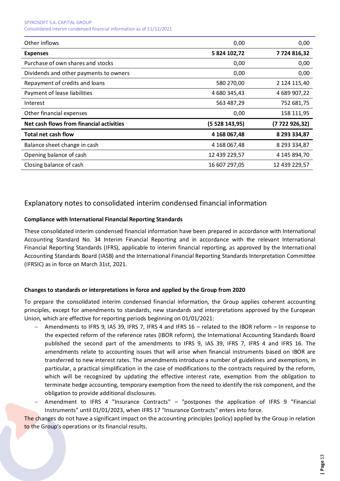| Other inflows                            | 0,00          | 0,00          |
|------------------------------------------|---------------|---------------|
| <b>Expenses</b>                          | 5 824 102,72  | 7724816,32    |
| Purchase of own shares and stocks        | 0,00          | 0,00          |
| Dividends and other payments to owners   | 0,00          | 0,00          |
| Repayment of credits and loans           | 580 270,00    | 2 124 115,40  |
| Payment of lease liabilities             | 4 680 345,43  | 4 689 907,22  |
| Interest                                 | 563 487,29    | 752 681,75    |
| Other financial expenses                 | 0,00          | 158 111,95    |
| Net cash flows from financial activities | (5528143,95)  | (7722926,32)  |
| <b>Total net cash flow</b>               | 4 168 067,48  | 8 293 334,87  |
| Balance sheet change in cash             | 4 168 067,48  | 8 293 334,87  |
| Opening balance of cash                  | 12 439 229,57 | 4 145 894,70  |
| Closing balance of cash                  | 16 607 297,05 | 12 439 229,57 |

# <span id="page-12-0"></span>Explanatory notes to consolidated interim condensed financial information

#### <span id="page-12-1"></span>**Compliance with International Financial Reporting Standards**

These consolidated interim condensed financial information have been prepared in accordance with International Accounting Standard No. 34 Interim Financial Reporting and in accordance with the relevant International Financial Reporting Standards (IFRS), applicable to interim financial reporting, as approved by the International Accounting Standards Board (IASB) and the International Financial Reporting Standards Interpretation Committee (IFRSIC) as in force on March 31st, 2021.

#### <span id="page-12-2"></span>**Changes to standards or interpretations in force and applied by the Group from 2020**

To prepare the consolidated interim condensed financial information, the Group applies coherent accounting principles, except for amendments to standards, new standards and interpretations approved by the European Union, which are effective for reporting periods beginning on 01/01/2021:

- − Amendments to IFRS 9, IAS 39, IFRS 7, IFRS 4 and IFRS 16 related to the IBOR reform In response to the expected reform of the reference rates (IBOR reform), the International Accounting Standards Board published the second part of the amendments to IFRS 9, IAS 39, IFRS 7, IFRS 4 and IFRS 16. The amendments relate to accounting issues that will arise when financial instruments based on IBOR are transferred to new interest rates. The amendments introduce a number of guidelines and exemptions, in particular, a practical simplification in the case of modifications to the contracts required by the reform, which will be recognized by updating the effective interest rate, exemption from the obligation to terminate hedge accounting, temporary exemption from the need to identify the risk component, and the obligation to provide additional disclosures.
- − Amendment to IFRS 4 "Insurance Contracts" "postpones the application of IFRS 9 "Financial Instruments" until 01/01/2023, when IFRS 17 "Insurance Contracts" enters into force.

The changes do not have a significant impact on the accounting principles (policy) applied by the Group in relation to the Group's operations or its financial results.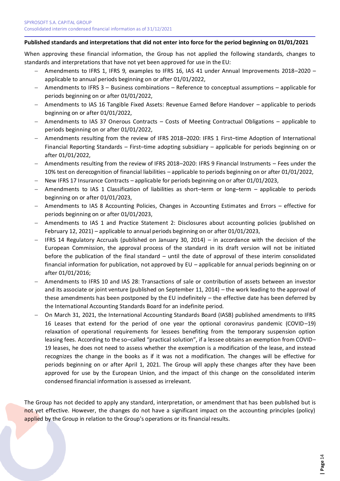#### <span id="page-13-0"></span>**Published standards and interpretations that did not enter into force for the period beginning on 01/01/2021**

When approving these financial information, the Group has not applied the following standards, changes to standards and interpretations that have not yet been approved for use in the EU:

- − Amendments to IFRS 1, IFRS 9, examples to IFRS 16, IAS 41 under Annual Improvements 2018–2020 applicable to annual periods beginning on or after 01/01/2022,
- − Amendments to IFRS 3 Business combinations Reference to conceptual assumptions applicable for periods beginning on or after 01/01/2022,
- − Amendments to IAS 16 Tangible Fixed Assets: Revenue Earned Before Handover applicable to periods beginning on or after 01/01/2022,
- − Amendments to IAS 37 Onerous Contracts Costs of Meeting Contractual Obligations applicable to periods beginning on or after 01/01/2022,
- − Amendments resulting from the review of IFRS 2018–2020: IFRS 1 First–time Adoption of International Financial Reporting Standards – First–time adopting subsidiary – applicable for periods beginning on or after 01/01/2022,
- − Amendments resulting from the review of IFRS 2018–2020: IFRS 9 Financial Instruments Fees under the 10% test on derecognition of financial liabilities – applicable to periods beginning on or after 01/01/2022,
- − New IFRS 17 Insurance Contracts applicable for periods beginning on or after 01/01/2023,
- − Amendments to IAS 1 Classification of liabilities as short–term or long–term applicable to periods beginning on or after 01/01/2023,
- − Amendments to IAS 8 Accounting Policies, Changes in Accounting Estimates and Errors effective for periods beginning on or after 01/01/2023,
- − Amendments to IAS 1 and Practice Statement 2: Disclosures about accounting policies (published on February 12, 2021) – applicable to annual periods beginning on or after 01/01/2023,
- − IFRS 14 Regulatory Accruals (published on January 30, 2014) in accordance with the decision of the European Commission, the approval process of the standard in its draft version will not be initiated before the publication of the final standard – until the date of approval of these interim consolidated financial information for publication, not approved by EU – applicable for annual periods beginning on or after 01/01/2016;
- − Amendments to IFRS 10 and IAS 28: Transactions of sale or contribution of assets between an investor and its associate or joint venture (published on September 11, 2014) – the work leading to the approval of these amendments has been postponed by the EU indefinitely – the effective date has been deferred by the International Accounting Standards Board for an indefinite period.
- On March 31, 2021, the International Accounting Standards Board (IASB) published amendments to IFRS 16 Leases that extend for the period of one year the optional coronavirus pandemic (COVID–19) relaxation of operational requirements for lessees benefiting from the temporary suspension option leasing fees. According to the so–called "practical solution", if a lessee obtains an exemption from COVID– 19 leases, he does not need to assess whether the exemption is a modification of the lease, and instead recognizes the change in the books as if it was not a modification. The changes will be effective for periods beginning on or after April 1, 2021. The Group will apply these changes after they have been approved for use by the European Union, and the impact of this change on the consolidated interim condensed financial information is assessed as irrelevant.

The Group has not decided to apply any standard, interpretation, or amendment that has been published but is not yet effective. However, the changes do not have a significant impact on the accounting principles (policy) applied by the Group in relation to the Group's operations or its financial results.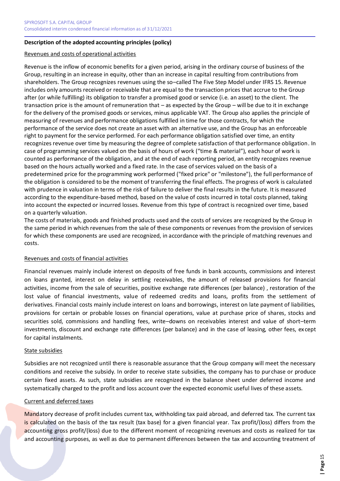#### <span id="page-14-0"></span>**Description of the adopted accounting principles (policy)**

#### Revenues and costs of operational activities

Revenue is the inflow of economic benefits for a given period, arising in the ordinary course of business of the Group, resulting in an increase in equity, other than an increase in capital resulting from contributions from shareholders. The Group recognizes revenues using the so–called The Five Step Model under IFRS 15. Revenue includes only amounts received or receivable that are equal to the transaction prices that accrue to the Group after (or while fulfilling) its obligation to transfer a promised good or service (i.e. an asset) to the client. The transaction price is the amount of remuneration that – as expected by the Group – will be due to it in exchange for the delivery of the promised goods or services, minus applicable VAT. The Group also applies the principle of measuring of revenues and performance obligations fulfilled in time for those contracts, for which the performance of the service does not create an asset with an alternative use, and the Group has an enforceable right to payment for the service performed. For each performance obligation satisfied over time, an entity recognizes revenue over time by measuring the degree of complete satisfaction of that performance obligation. In case of programming services valued on the basis of hours of work ("time & material"), each hour of work is counted as performance of the obligation, and at the end of each reporting period, an entity recognizes revenue based on the hours actually worked and a fixed rate. In the case of services valued on the basis of a predetermined price for the programming work performed ("fixed price" or "milestone"), the full performance of the obligation is considered to be the moment of transferring the final effects. The progress of work is calculated with prudence in valuation in terms of the risk of failure to deliver the final results in the future. It is measured according to the expenditure-based method, based on the value of costs incurred in total costs planned, taking into account the expected or incurred losses. Revenue from this type of contract is recognized over time, based on a quarterly valuation.

The costs of materials, goods and finished products used and the costs of services are recognized by the Group in the same period in which revenues from the sale of these components or revenues from the provision of services for which these components are used are recognized, in accordance with the principle of matching revenues and costs.

#### Revenues and costs of financial activities

Financial revenues mainly include interest on deposits of free funds in bank accounts, commissions and interest on loans granted, interest on delay in settling receivables, the amount of released provisions for financial activities, income from the sale of securities, positive exchange rate differences (per balance) , restoration of the lost value of financial investments, value of redeemed credits and loans, profits from the settlement of derivatives. Financial costs mainly include interest on loans and borrowings, interest on late payment of liabilities, provisions for certain or probable losses on financial operations, value at purchase price of shares, stocks and securities sold, commissions and handling fees, write–downs on receivables interest and value of short–term investments, discount and exchange rate differences (per balance) and in the case of leasing, other fees, ex cept for capital instalments.

#### State subsidies

Subsidies are not recognized until there is reasonable assurance that the Group company will meet the necessary conditions and receive the subsidy. In order to receive state subsidies, the company has to pur chase or produce certain fixed assets. As such, state subsidies are recognized in the balance sheet under deferred income and systematically charged to the profit and loss account over the expected economic useful lives of these assets.

#### Current and deferred taxes

Mandatory decrease of profit includes current tax, withholding tax paid abroad, and deferred tax. The current tax is calculated on the basis of the tax result (tax base) for a given financial year. Tax profit/(loss) differs from the accounting gross profit/(loss) due to the different moment of recognizing revenues and costs as realized for tax and accounting purposes, as well as due to permanent differences between the tax and accounting treatment of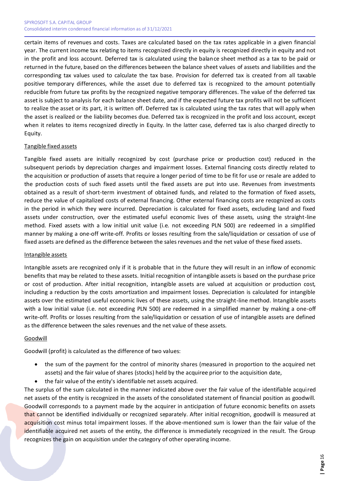certain items of revenues and costs. Taxes are calculated based on the tax rates applicable in a given financial year. The current income tax relating to items recognized directly in equity is recognized directly in equity and not in the profit and loss account. Deferred tax is calculated using the balance sheet method as a tax to be paid or returned in the future, based on the differences between the balance sheet values of assets and liabilities and the corresponding tax values used to calculate the tax base. Provision for deferred tax is created from all taxable positive temporary differences, while the asset due to deferred tax is recognized to the amount potentially reducible from future tax profits by the recognized negative temporary differences. The value of the deferred tax asset is subject to analysis for each balance sheet date, and if the expected future tax profits will not be sufficient to realize the asset or its part, it is written off. Deferred tax is calculated using the tax rates that will apply when the asset is realized or the liability becomes due. Deferred tax is recognized in the profit and loss account, except when it relates to items recognized directly in Equity. In the latter case, deferred tax is also charged directly to Equity.

#### Tangible fixed assets

Tangible fixed assets are initially recognized by cost (purchase price or production cost) reduced in the subsequent periods by depreciation charges and impairment losses. External financing costs directly related to the acquisition or production of assets that require a longer period of time to be fit for use or resale are added to the production costs of such fixed assets until the fixed assets are put into use. Revenues from investments obtained as a result of short-term investment of obtained funds, and related to the formation of fixed assets, reduce the value of capitalized costs of external financing. Other external financing costs are recognized as costs in the period in which they were incurred. Depreciation is calculated for fixed assets, excluding land and fixed assets under construction, over the estimated useful economic lives of these assets, using the straight-line method. Fixed assets with a low initial unit value (i.e. not exceeding PLN 500) are redeemed in a simplified manner by making a one-off write-off. Profits or losses resulting from the sale/liquidation or cessation of use of fixed assets are defined as the difference between the sales revenues and the net value of these fixed assets.

#### Intangible assets

Intangible assets are recognized only if it is probable that in the future they will result in an inflow of economic benefits that may be related to these assets. Initial recognition of intangible assets is based on the purchase price or cost of production. After initial recognition, intangible assets are valued at acquisition or production cost, including a reduction by the costs amortization and impairment losses. Depreciation is calculated for intangible assets over the estimated useful economic lives of these assets, using the straight-line method. Intangible assets with a low initial value (i.e. not exceeding PLN 500) are redeemed in a simplified manner by making a one-off write-off. Profits or losses resulting from the sale/liquidation or cessation of use of intangible assets are defined as the difference between the sales revenues and the net value of these assets.

#### **Goodwill**

Goodwill (profit) is calculated as the difference of two values:

- the sum of the payment for the control of minority shares (measured in proportion to the acquired net assets) and the fair value of shares (stocks) held by the acquiree prior to the acquisition date,
- the fair value of the entity's identifiable net assets acquired.

The surplus of the sum calculated in the manner indicated above over the fair value of the identifiable acquired net assets of the entity is recognized in the assets of the consolidated statement of financial position as goodwill. Goodwill corresponds to a payment made by the acquirer in anticipation of future economic benefits on assets that cannot be identified individually or recognized separately. After initial recognition, goodwill is measured at acquisition cost minus total impairment losses. If the above-mentioned sum is lower than the fair value of the identifiable acquired net assets of the entity, the difference is immediately recognized in the result. The Group recognizes the gain on acquisition under the category of other operating income.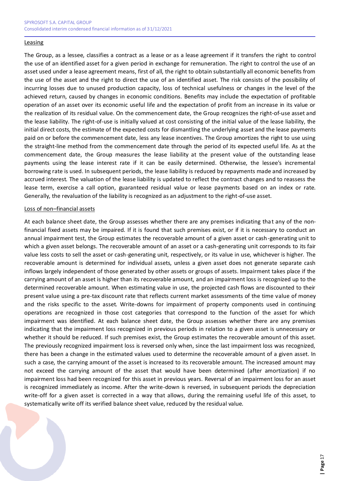#### Leasing

The Group, as a lessee, classifies a contract as a lease or as a lease agreement if it transfers the right to control the use of an identified asset for a given period in exchange for remuneration. The right to control the use of an asset used under a lease agreement means, first of all, the right to obtain substantially all economic benefits from the use of the asset and the right to direct the use of an identified asset. The risk consists of the possibility of incurring losses due to unused production capacity, loss of technical usefulness or changes in the level of the achieved return, caused by changes in economic conditions. Benefits may include the expectation of profitable operation of an asset over its economic useful life and the expectation of profit from an increase in its value or the realization of its residual value. On the commencement date, the Group recognizes the right-of-use asset and the lease liability. The right-of-use is initially valued at cost consisting of the initial value of the lease liability, the initial direct costs, the estimate of the expected costs for dismantling the underlying asset and the lease payments paid on or before the commencement date, less any lease incentives. The Group amortizes the right to use using the straight-line method from the commencement date through the period of its expected useful life. As at the commencement date, the Group measures the lease liability at the present value of the outstanding lease payments using the lease interest rate if it can be easily determined. Otherwise, the lessee's incremental borrowing rate is used. In subsequent periods, the lease liability is reduced by repayments made and increased by accrued interest. The valuation of the lease liability is updated to reflect the contract changes and to reassess the lease term, exercise a call option, guaranteed residual value or lease payments based on an index or rate. Generally, the revaluation of the liability is recognized as an adjustment to the right-of-use asset.

#### Loss of non–financial assets

At each balance sheet date, the Group assesses whether there are any premises indicating that any of the nonfinancial fixed assets may be impaired. If it is found that such premises exist, or if it is necessary to conduct an annual impairment test, the Group estimates the recoverable amount of a given asset or cash-generating unit to which a given asset belongs. The recoverable amount of an asset or a cash-generating unit corresponds to its fair value less costs to sell the asset or cash-generating unit, respectively, or its value in use, whichever is higher. The recoverable amount is determined for individual assets, unless a given asset does not generate separate cash inflows largely independent of those generated by other assets or groups of assets. Impairment takes place if the carrying amount of an asset is higher than its recoverable amount, and an impairment loss is recognized up to the determined recoverable amount. When estimating value in use, the projected cash flows are discounted to their present value using a pre-tax discount rate that reflects current market assessments of the time value of money and the risks specific to the asset. Write-downs for impairment of property components used in continuing operations are recognized in those cost categories that correspond to the function of the asset for which impairment was identified. At each balance sheet date, the Group assesses whether there are any premises indicating that the impairment loss recognized in previous periods in relation to a given asset is unnecessary or whether it should be reduced. If such premises exist, the Group estimates the recoverable amount of this asset. The previously recognized impairment loss is reversed only when, since the last impairment loss was recognized, there has been a change in the estimated values used to determine the recoverable amount of a given asset. In such a case, the carrying amount of the asset is increased to its recoverable amount. The increased amount may not exceed the carrying amount of the asset that would have been determined (after amortization) if no impairment loss had been recognized for this asset in previous years. Reversal of an impairment loss for an asset is recognized immediately as income. After the write-down is reversed, in subsequent periods the depreciation write-off for a given asset is corrected in a way that allows, during the remaining useful life of this asset, to systematically write off its verified balance sheet value, reduced by the residual value.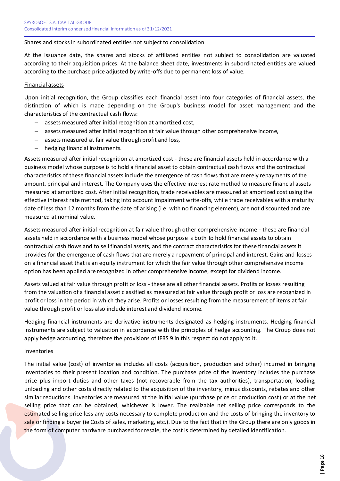#### Shares and stocks in subordinated entities not subject to consolidation

At the issuance date, the shares and stocks of affiliated entities not subject to consolidation are valuated according to their acquisition prices. At the balance sheet date, investments in subordinated entities are valued according to the purchase price adjusted by write-offs due to permanent loss of value.

#### Financial assets

Upon initial recognition, the Group classifies each financial asset into four categories of financial assets, the distinction of which is made depending on the Group's business model for asset management and the characteristics of the contractual cash flows:

- assets measured after initial recognition at amortized cost,
- assets measured after initial recognition at fair value through other comprehensive income,
- assets measured at fair value through profit and loss,
- − hedging financial instruments.

Assets measured after initial recognition at amortized cost - these are financial assets held in accordance with a business model whose purpose is to hold a financial asset to obtain contractual cash flows and the contractual characteristics of these financial assets include the emergence of cash flows that are merely repayments of the amount. principal and interest. The Company uses the effective interest rate method to measure financial assets measured at amortized cost. After initial recognition, trade receivables are measured at amortized cost using the effective interest rate method, taking into account impairment write-offs, while trade receivables with a maturity date of less than 12 months from the date of arising (i.e. with no financing element), are not discounted and are measured at nominal value.

Assets measured after initial recognition at fair value through other comprehensive income - these are financial assets held in accordance with a business model whose purpose is both to hold financial assets to obtain contractual cash flows and to sell financial assets, and the contract characteristics for these financial assets it provides for the emergence of cash flows that are merely a repayment of principal and interest. Gains and losses on a financial asset that is an equity instrument for which the fair value through other comprehensive income option has been applied are recognized in other comprehensive income, except for dividend income.

Assets valued at fair value through profit or loss - these are all other financial assets. Profits or losses resulting from the valuation of a financial asset classified as measured at fair value through profit or loss are recognized in profit or loss in the period in which they arise. Profits or losses resulting from the measurement of items at fair value through profit or loss also include interest and dividend income.

Hedging financial instruments are derivative instruments designated as hedging instruments. Hedging financial instruments are subject to valuation in accordance with the principles of hedge accounting. The Group does not apply hedge accounting, therefore the provisions of IFRS 9 in this respect do not apply to it.

#### **Inventories**

The initial value (cost) of inventories includes all costs (acquisition, production and other) incurred in bringing inventories to their present location and condition. The purchase price of the inventory includes the purchase price plus import duties and other taxes (not recoverable from the tax authorities), transportation, loading, unloading and other costs directly related to the acquisition of the inventory, minus discounts, rebates and other similar reductions. Inventories are measured at the initial value (purchase price or production cost) or at the net selling price that can be obtained, whichever is lower. The realizable net selling price corresponds to the estimated selling price less any costs necessary to complete production and the costs of bringing the inventory to sale or finding a buyer (ie Costs of sales, marketing, etc.). Due to the fact that in the Group there are only goods in the form of computer hardware purchased for resale, the cost is determined by detailed identification.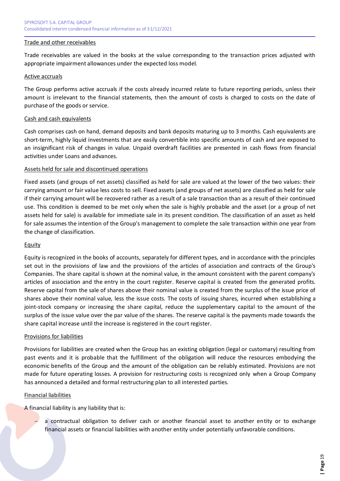#### Trade and other receivables

Trade receivables are valued in the books at the value corresponding to the transaction prices adjusted with appropriate impairment allowances under the expected loss model.

#### Active accruals

The Group performs active accruals if the costs already incurred relate to future reporting periods, unless their amount is irrelevant to the financial statements, then the amount of costs is charged to costs on the date of purchase of the goods or service.

#### Cash and cash equivalents

Cash comprises cash on hand, demand deposits and bank deposits maturing up to 3 months. Cash equivalents are short-term, highly liquid investments that are easily convertible into specific amounts of cash and are exposed to an insignificant risk of changes in value. Unpaid overdraft facilities are presented in cash flows from financial activities under Loans and advances.

#### Assets held for sale and discontinued operations

Fixed assets (and groups of net assets) classified as held for sale are valued at the lower of the two values: their carrying amount or fair value less costs to sell. Fixed assets (and groups of net assets) are classified as held for sale if their carrying amount will be recovered rather as a result of a sale transaction than as a result of their continued use. This condition is deemed to be met only when the sale is highly probable and the asset (or a group of net assets held for sale) is available for immediate sale in its present condition. The classification of an asset as held for sale assumes the intention of the Group's management to complete the sale transaction within one year from the change of classification.

#### **Equity**

Equity is recognized in the books of accounts, separately for different types, and in accordance with the principles set out in the provisions of law and the provisions of the articles of association and contracts of the Group's Companies. The share capital is shown at the nominal value, in the amount consistent with the parent company's articles of association and the entry in the court register. Reserve capital is created from the generated profits. Reserve capital from the sale of shares above their nominal value is created from the surplus of the issue price of shares above their nominal value, less the issue costs. The costs of issuing shares, incurred when establishing a joint-stock company or increasing the share capital, reduce the supplementary capital to the amount of the surplus of the issue value over the par value of the shares. The reserve capital is the payments made towards the share capital increase until the increase is registered in the court register.

#### Provisions for liabilities

Provisions for liabilities are created when the Group has an existing obligation (legal or customary) resulting from past events and it is probable that the fulfillment of the obligation will reduce the resources embodying the economic benefits of the Group and the amount of the obligation can be reliably estimated. Provisions are not made for future operating losses. A provision for restructuring costs is recognized only when a Group Company has announced a detailed and formal restructuring plan to all interested parties.

#### Financial liabilities

A financial liability is any liability that is:

a contractual obligation to deliver cash or another financial asset to another entity or to exchange financial assets or financial liabilities with another entity under potentially unfavorable conditions.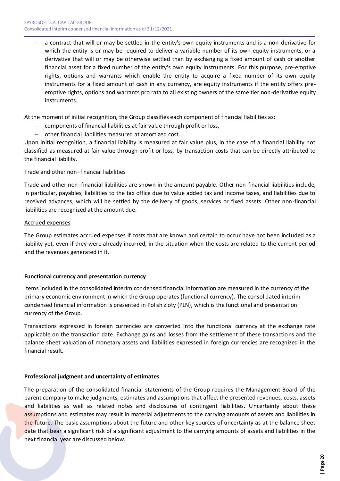a contract that will or may be settled in the entity's own equity instruments and is a non-derivative for which the entity is or may be required to deliver a variable number of its own equity instruments, or a derivative that will or may be otherwise settled than by exchanging a fixed amount of cash or another financial asset for a fixed number of the entity's own equity instruments. For this purpose, pre-emptive rights, options and warrants which enable the entity to acquire a fixed number of its own equity instruments for a fixed amount of cash in any currency, are equity instruments if the entity offers preemptive rights, options and warrants pro rata to all existing owners of the same tier non-derivative equity instruments.

At the moment of initial recognition, the Group classifies each component of financial liabilities as:

- components of financial liabilities at fair value through profit or loss,
- − other financial liabilities measured at amortized cost.

Upon initial recognition, a financial liability is measured at fair value plus, in the case of a financial liability not classified as measured at fair value through profit or loss, by transaction costs that can be directly attributed to the financial liability.

#### Trade and other non–financial liabilities

Trade and other non–financial liabilities are shown in the amount payable. Other non-financial liabilities include, in particular, payables, liabilities to the tax office due to value added tax and income taxes, and liabilities due to received advances, which will be settled by the delivery of goods, services or fixed assets. Other non-financial liabilities are recognized at the amount due.

#### Accrued expenses

The Group estimates accrued expenses if costs that are known and certain to occur have not been included as a liability yet, even if they were already incurred, in the situation when the costs are related to the current period and the revenues generated in it.

#### <span id="page-19-0"></span>**Functional currency and presentation currency**

Items included in the consolidated interim condensed financial information are measured in the currency of the primary economic environment in which the Group operates (functional currency). The consolidated interim condensed financial information is presented in Polish zloty (PLN), which is the functional and presentation currency of the Group.

Transactions expressed in foreign currencies are converted into the functional currency at the exchange rate applicable on the transaction date. Exchange gains and losses from the settlement of these transactions and the balance sheet valuation of monetary assets and liabilities expressed in foreign currencies are recognized in the financial result.

#### **Professional judgment and uncertainty of estimates**

The preparation of the consolidated financial statements of the Group requires the Management Board of the parent company to make judgments, estimates and assumptions that affect the presented revenues, costs, assets and liabilities as well as related notes and disclosures of contingent liabilities. Uncertainty about these assumptions and estimates may result in material adjustments to the carrying amounts of assets and liabilities in the future. The basic assumptions about the future and other key sources of uncertainty as at the balance sheet date that bear a significant risk of a significant adjustment to the carrying amounts of assets and liabilities in the next financial year are discussed below.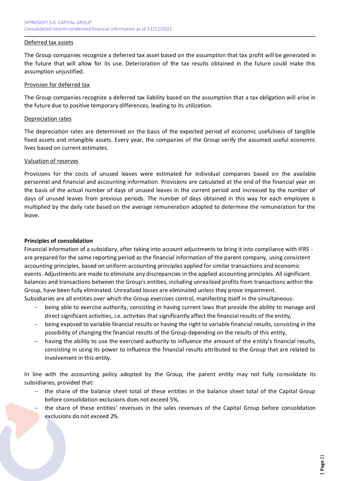#### Deferred tax assets

The Group companies recognize a deferred tax asset based on the assumption that tax profit will be generated in the future that will allow for its use. Deterioration of the tax results obtained in the future could make this assumption unjustified.

#### Provision for deferred tax

The Group companies recognize a deferred tax liability based on the assumption that a tax obligation will arise in the future due to positive temporary differences, leading to its utilization.

#### Depreciation rates

The depreciation rates are determined on the basis of the expected period of economic usefulness of tangible fixed assets and intangible assets. Every year, the companies of the Group verify the assumed useful economic lives based on current estimates.

#### Valuation of reserves

Provisions for the costs of unused leaves were estimated for individual companies based on the available personnel and financial and accounting information. Provisions are calculated at the end of the financial year on the basis of the actual number of days of unused leaves in the current period and increased by the number of days of unused leaves from previous periods. The number of days obtained in this way for each employee is multiplied by the daily rate based on the average remuneration adopted to determine the remuneration for the leave.

#### **Principles of consolidation**

Financial information of a subsidiary, after taking into account adjustments to bring it into compliance with IFRS are prepared for the same reporting period as the financial information of the parent company, using consistent accounting principles, based on uniform accounting principles applied for similar transactions and economic events. Adjustments are made to eliminate any discrepancies in the applied accounting principles. All significant balances and transactions between the Group's entities, including unrealized profits from transactions within the Group, have been fully eliminated. Unrealized losses are eliminated unless they prove impairment.

- Subsidiaries are all entities over which the Group exercises control, manifesting itself in the simultaneous: − being able to exercise authority, consisting in having current laws that provide the ability to manage and
	- direct significant activities, i.e. activities that significantly affect the financial results of the entity, − being exposed to variable financial results or having the right to variable financial results, consisting in the
	- possibility of changing the financial results of the Group depending on the results of this entity, − having the ability to use the exercised authority to influence the amount of the entity's financial results, consisting in using its power to influence the financial results attributed to the Group that are related to involvement in this entity.

In line with the accounting policy adopted by the Group, the parent entity may not fully consolidate its subsidiaries, provided that:

- the share of the balance sheet total of these entities in the balance sheet total of the Capital Group before consolidation exclusions does not exceed 5%,
- the share of these entities' revenues in the sales revenues of the Capital Group before consolidation exclusions do not exceed 2%.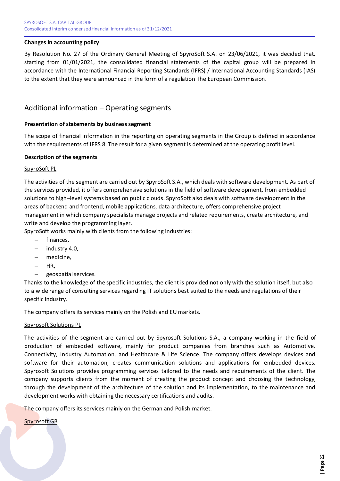#### <span id="page-21-0"></span>**Changes in accounting policy**

By Resolution No. 27 of the Ordinary General Meeting of SpyroSoft S.A. on 23/06/2021, it was decided that, starting from 01/01/2021, the consolidated financial statements of the capital group will be prepared in accordance with the International Financial Reporting Standards (IFRS) / International Accounting Standards (IAS) to the extent that they were announced in the form of a regulation The European Commission.

# <span id="page-21-1"></span>Additional information – Operating segments

#### <span id="page-21-2"></span>**Presentation of statements by business segment**

The scope of financial information in the reporting on operating segments in the Group is defined in accordance with the requirements of IFRS 8. The result for a given segment is determined at the operating profit level.

#### <span id="page-21-3"></span>**Description of the segments**

#### SpyroSoft PL

The activities of the segment are carried out by SpyroSoft S.A., which deals with software development. As part of the services provided, it offers comprehensive solutions in the field of software development, from embedded solutions to high–level systems based on public clouds. SpyroSoft also deals with software development in the areas of backend and frontend, mobile applications, data architecture, offers comprehensive project management in which company specialists manage projects and related requirements, create architecture, and write and develop the programming layer.

SpyroSoft works mainly with clients from the following industries:

- finances,
- − industry 4.0,
- − medicine,
- − HR,
- − geospatial services.

Thanks to the knowledge of the specific industries, the client is provided not only with the solution itself, but also to a wide range of consulting services regarding IT solutions best suited to the needs and regulations of their specific industry.

The company offers its services mainly on the Polish and EU markets.

#### Spyrosoft Solutions PL

The activities of the segment are carried out by Spyrosoft Solutions S.A., a company working in the field of production of embedded software, mainly for product companies from branches such as Automotive, Connectivity, Industry Automation, and Healthcare & Life Science. The company offers develops devices and software for their automation, creates communication solutions and applications for embedded devices. Spyrosoft Solutions provides programming services tailored to the needs and requirements of the client. The company supports clients from the moment of creating the product concept and choosing the technology, through the development of the architecture of the solution and its implementation, to the maintenance and development works with obtaining the necessary certifications and audits.

The company offers its services mainly on the German and Polish market.

#### Spyrosoft GB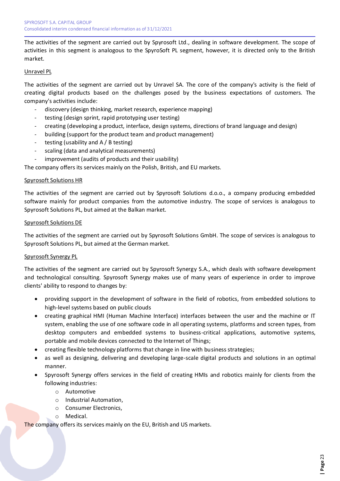The activities of the segment are carried out by Spyrosoft Ltd., dealing in software development. The scope of activities in this segment is analogous to the SpyroSoft PL segment, however, it is directed only to the British market.

#### Unravel PL

The activities of the segment are carried out by Unravel SA. The core of the company's activity is the field of creating digital products based on the challenges posed by the business expectations of customers. The company's activities include:

- discovery (design thinking, market research, experience mapping)
- testing (design sprint, rapid prototyping user testing)
- creating (developing a product, interface, design systems, directions of brand language and design)
- building (support for the product team and product management)
- testing (usability and  $A / B$  testing)
- scaling (data and analytical measurements)
- improvement (audits of products and their usability)

The company offers its services mainly on the Polish, British, and EU markets.

#### Spyrosoft Solutions HR

The activities of the segment are carried out by Spyrosoft Solutions d.o.o., a company producing embedded software mainly for product companies from the automotive industry. The scope of services is analogous to Spyrosoft Solutions PL, but aimed at the Balkan market.

#### Spyrosoft Solutions DE

The activities of the segment are carried out by Spyrosoft Solutions GmbH. The scope of services is analogous to Spyrosoft Solutions PL, but aimed at the German market.

#### Spyrosoft Synergy PL

The activities of the segment are carried out by Spyrosoft Synergy S.A., which deals with software development and technological consulting. Spyrosoft Synergy makes use of many years of experience in order to improve clients' ability to respond to changes by:

- providing support in the development of software in the field of robotics, from embedded solutions to high-level systems based on public clouds
- creating graphical HMI (Human Machine Interface) interfaces between the user and the machine or IT system, enabling the use of one software code in all operating systems, platforms and screen types, from desktop computers and embedded systems to business-critical applications, automotive systems, portable and mobile devices connected to the Internet of Things;
- creating flexible technology platforms that change in line with business strategies;
- as well as designing, delivering and developing large-scale digital products and solutions in an optimal manner.
- Spyrosoft Synergy offers services in the field of creating HMIs and robotics mainly for clients from the following industries:
	- o Automotive
	- o Industrial Automation,
	- o Consumer Electronics,
	- o Medical.

The company offers its services mainly on the EU, British and US markets.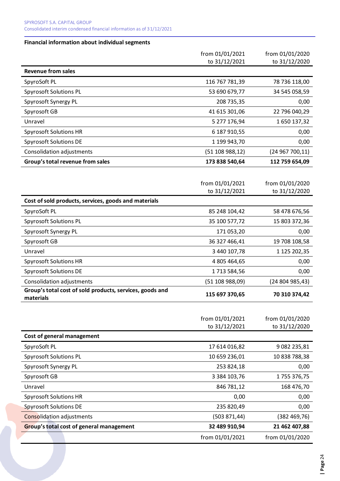#### <span id="page-23-0"></span>**Financial information about individual segments**

|                                                                       | from 01/01/2021<br>to 31/12/2021 | from 01/01/2020<br>to 31/12/2020 |
|-----------------------------------------------------------------------|----------------------------------|----------------------------------|
| <b>Revenue from sales</b>                                             |                                  |                                  |
| SpyroSoft PL                                                          | 116 767 781,39                   | 78 736 118,00                    |
| <b>Spyrosoft Solutions PL</b>                                         | 53 690 679,77                    | 34 545 058,59                    |
| Spyrosoft Synergy PL                                                  | 208 735,35                       | 0,00                             |
| Spyrosoft GB                                                          | 41 615 301,06                    | 22 796 040,29                    |
| Unravel                                                               | 5 277 176,94                     | 1650137,32                       |
| <b>Spyrosoft Solutions HR</b>                                         | 6 187 910,55                     | 0,00                             |
| <b>Spyrosoft Solutions DE</b>                                         | 1 199 943,70                     | 0,00                             |
| Consolidation adjustments                                             | (51 108 988, 12)                 | (24967700, 11)                   |
| Group's total revenue from sales                                      | 173 838 540,64                   | 112 759 654,09                   |
|                                                                       |                                  |                                  |
|                                                                       | from 01/01/2021                  | from 01/01/2020                  |
|                                                                       | to 31/12/2021                    | to 31/12/2020                    |
| Cost of sold products, services, goods and materials                  |                                  |                                  |
| SpyroSoft PL                                                          | 85 248 104,42                    | 58 478 676,56                    |
| <b>Spyrosoft Solutions PL</b>                                         | 35 100 577,72                    | 15 803 372,36                    |
| Spyrosoft Synergy PL                                                  | 171 053,20                       | 0,00                             |
| Spyrosoft GB                                                          | 36 327 466,41                    | 19 708 108,58                    |
| Unravel                                                               | 3 440 107,78                     | 1 125 202,35                     |
| <b>Spyrosoft Solutions HR</b>                                         | 4 805 464,65                     | 0,00                             |
| <b>Spyrosoft Solutions DE</b>                                         | 1713 584,56                      | 0,00                             |
| Consolidation adjustments                                             | (51 108 988,09)                  | (24804985, 43)                   |
| Group's total cost of sold products, services, goods and<br>materials | 115 697 370,65                   | 70 310 374,42                    |
|                                                                       |                                  |                                  |
|                                                                       | from 01/01/2021                  | from 01/01/2020                  |
| Cost of general management                                            | to 31/12/2021                    | to 31/12/2020                    |
|                                                                       |                                  |                                  |
| SpyroSoft PL<br><b>Spyrosoft Solutions PL</b>                         | 17 614 016,82<br>10 659 236,01   | 9 082 235,81<br>10 838 788,38    |
| Spyrosoft Synergy PL                                                  | 253 824,18                       | 0,00                             |
| Spyrosoft GB                                                          | 3 384 103,76                     | 1755 376,75                      |
| Unravel                                                               | 846 781,12                       | 168 476,70                       |
| <b>Spyrosoft Solutions HR</b>                                         | 0,00                             | 0,00                             |
| <b>Spyrosoft Solutions DE</b>                                         | 235 820,49                       | 0,00                             |
| <b>Consolidation adjustments</b>                                      |                                  | (382469,76)                      |
| <b>Group's total cost of general management</b>                       |                                  |                                  |
|                                                                       | (503 871, 44)<br>32 489 910,94   | 21 462 407,88                    |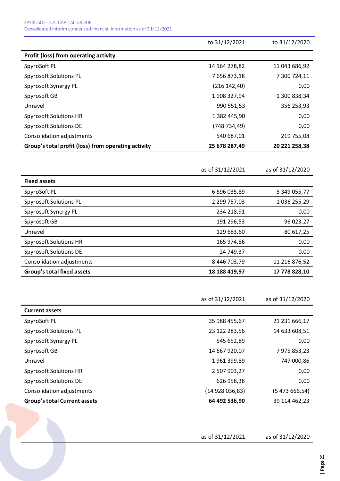|                                                     | to 31/12/2021    | to 31/12/2020    |
|-----------------------------------------------------|------------------|------------------|
| Profit (loss) from operating activity               |                  |                  |
| SpyroSoft PL                                        | 14 164 278,82    | 11 043 686,92    |
| <b>Spyrosoft Solutions PL</b>                       | 7 656 873,18     | 7 300 724,11     |
| Spyrosoft Synergy PL                                | (216 142, 40)    | 0,00             |
| Spyrosoft GB                                        | 1908 327,94      | 1 300 838,34     |
| Unravel                                             | 990 551,53       | 356 253,93       |
| <b>Spyrosoft Solutions HR</b>                       | 1 382 445,90     | 0,00             |
| <b>Spyrosoft Solutions DE</b>                       | (748734, 49)     | 0,00             |
| Consolidation adjustments                           | 540 687,01       | 219 755,08       |
| Group's total profit (loss) from operating activity | 25 678 287,49    | 20 221 258,38    |
|                                                     |                  |                  |
|                                                     | as of 31/12/2021 | as of 31/12/2020 |
| <b>Fixed assets</b>                                 |                  |                  |
| SpyroSoft PL                                        | 6 696 035,89     | 5 349 055,77     |
| <b>Spyrosoft Solutions PL</b>                       | 2 299 757,03     | 1 036 255,29     |
| Spyrosoft Synergy PL                                | 234 218,91       | 0,00             |
| Spyrosoft GB                                        | 191 296,53       | 96 023,27        |
| Unravel                                             | 129 683,60       | 80 617,25        |
| <b>Spyrosoft Solutions HR</b>                       | 165 974,86       | 0,00             |
| <b>Spyrosoft Solutions DE</b>                       | 24 749,37        | 0,00             |
| <b>Consolidation adjustments</b>                    | 8 446 703,79     | 11 216 876,52    |
| Group's total fixed assets                          | 18 188 419,97    | 17 778 828,10    |
|                                                     |                  |                  |
|                                                     |                  |                  |
|                                                     | as of 31/12/2021 | as of 31/12/2020 |
| <b>Current assets</b>                               |                  |                  |
| SpyroSoft PL                                        | 35 988 455,67    | 21 231 666,17    |
| <b>Spyrosoft Solutions PL</b>                       | 23 122 283,56    | 14 633 608,51    |
| Spyrosoft Synergy PL                                | 545 652,89       | 0,00             |
| Spyrosoft GB                                        | 14 667 920,07    | 7 975 853,23     |
| Unravel                                             | 1961399,89       | 747 000,86       |
| <b>Spyrosoft Solutions HR</b>                       | 2 507 903,27     | 0,00             |
| <b>Spyrosoft Solutions DE</b>                       | 626 958,38       | 0,00             |
| Consolidation adjustments                           | (14 928 036,83)  | (5473666,54)     |
| <b>Group's total Current assets</b>                 | 64 492 536,90    | 39 114 462,23    |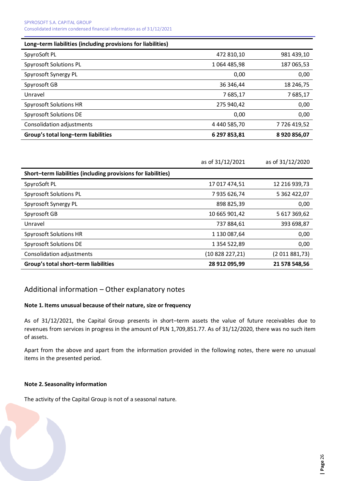| Long-term liabilities (including provisions for liabilities) |              |            |
|--------------------------------------------------------------|--------------|------------|
| SpyroSoft PL                                                 | 472 810,10   | 981 439,10 |
| <b>Spyrosoft Solutions PL</b>                                | 1 064 485,98 | 187 065,53 |
| Spyrosoft Synergy PL                                         | 0,00         | 0,00       |
| Spyrosoft GB                                                 | 36 346,44    | 18 246,75  |
| Unravel                                                      | 7685,17      | 7685,17    |
| <b>Spyrosoft Solutions HR</b>                                | 275 940,42   | 0,00       |
| <b>Spyrosoft Solutions DE</b>                                | 0,00         | 0,00       |
| Consolidation adjustments                                    | 4 440 585.70 | 7726419,52 |
| Group's total long-term liabilities                          | 6 297 853,81 | 8920856,07 |

|                                                               | as of 31/12/2021 | as of 31/12/2020 |
|---------------------------------------------------------------|------------------|------------------|
| Short-term liabilities (including provisions for liabilities) |                  |                  |
| SpyroSoft PL                                                  | 17 017 474,51    | 12 216 939,73    |
| <b>Spyrosoft Solutions PL</b>                                 | 7 935 626,74     | 5 362 422,07     |
| Spyrosoft Synergy PL                                          | 898 825,39       | 0,00             |
| Spyrosoft GB                                                  | 10 665 901,42    | 5 617 369,62     |
| Unravel                                                       | 737 884,61       | 393 698,87       |
| <b>Spyrosoft Solutions HR</b>                                 | 1 130 087,64     | 0,00             |
| <b>Spyrosoft Solutions DE</b>                                 | 1 354 522,89     | 0,00             |
| Consolidation adjustments                                     | (10828227,21)    | (2011881,73)     |
| Group's total short-term liabilities                          | 28 912 095,99    | 21 578 548,56    |

# <span id="page-25-0"></span>Additional information – Other explanatory notes

## <span id="page-25-1"></span>**Note 1. Items unusual because of their nature, size or frequency**

As of 31/12/2021, the Capital Group presents in short–term assets the value of future receivables due to revenues from services in progress in the amount of PLN 1,709,851.77. As of 31/12/2020, there was no such item of assets.

Apart from the above and apart from the information provided in the following notes, there were no unusual items in the presented period.

#### <span id="page-25-2"></span>**Note 2. Seasonality information**

The activity of the Capital Group is not of a seasonal nature.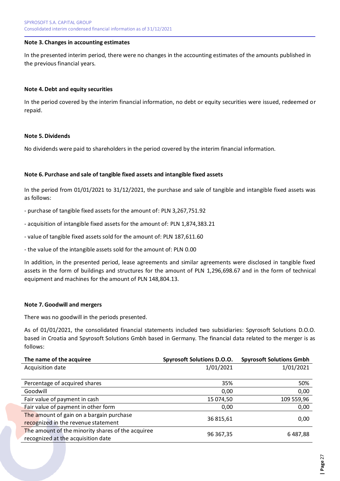#### <span id="page-26-0"></span>**Note 3. Changes in accounting estimates**

In the presented interim period, there were no changes in the accounting estimates of the amounts published in the previous financial years.

#### <span id="page-26-1"></span>**Note 4.Debt and equity securities**

In the period covered by the interim financial information, no debt or equity securities were issued, redeemed or repaid.

#### <span id="page-26-2"></span>**Note 5.Dividends**

No dividends were paid to shareholders in the period covered by the interim financial information.

#### <span id="page-26-3"></span>**Note 6. Purchase and sale of tangible fixed assets and intangible fixed assets**

In the period from 01/01/2021 to 31/12/2021, the purchase and sale of tangible and intangible fixed assets was as follows:

- purchase of tangible fixed assets for the amount of: PLN 3,267,751.92
- acquisition of intangible fixed assets for the amount of: PLN 1,874,383.21
- value of tangible fixed assets sold for the amount of: PLN 187,611.60
- the value of the intangible assets sold for the amount of: PLN 0.00

In addition, in the presented period, lease agreements and similar agreements were disclosed in tangible fixed assets in the form of buildings and structures for the amount of PLN 1,296,698.67 and in the form of technical equipment and machines for the amount of PLN 148,804.13.

#### <span id="page-26-4"></span>**Note 7.Goodwill and mergers**

There was no goodwill in the periods presented.

As of 01/01/2021, the consolidated financial statements included two subsidiaries: Spyrosoft Solutions D.O.O. based in Croatia and Spyrosoft Solutions Gmbh based in Germany. The financial data related to the merger is as follows:

| The name of the acquiree                          | <b>Spyrosoft Solutions D.O.O.</b> | <b>Spyrosoft Solutions Gmbh</b> |
|---------------------------------------------------|-----------------------------------|---------------------------------|
| Acquisition date                                  | 1/01/2021                         | 1/01/2021                       |
|                                                   |                                   |                                 |
| Percentage of acquired shares                     | 35%                               | 50%                             |
| Goodwill                                          | 0,00                              | 0,00                            |
| Fair value of payment in cash                     | 15 074,50                         | 109 559,96                      |
| Fair value of payment in other form               | 0,00                              | 0,00                            |
| The amount of gain on a bargain purchase          |                                   | 0,00                            |
| recognized in the revenue statement               | 36 815,61                         |                                 |
| The amount of the minority shares of the acquiree | 96 367,35                         | 6487,88                         |
| recognized at the acquisition date                |                                   |                                 |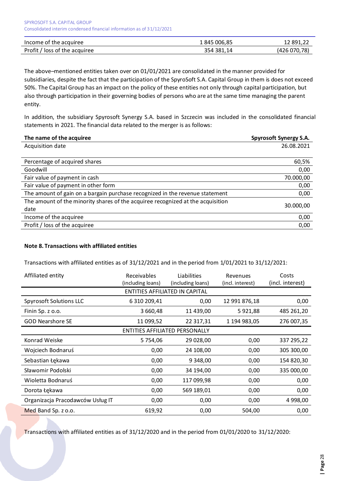j.

| Income of the acquiree        | 1845 006,85 | 12 891,22   |
|-------------------------------|-------------|-------------|
| Profit / loss of the acquiree | 354 381,14  | (426070,78) |

The above–mentioned entities taken over on 01/01/2021 are consolidated in the manner provided for subsidiaries, despite the fact that the participation of the SpyroSoft S.A. Capital Group in them is does not exceed 50%. The Capital Group has an impact on the policy of these entities not only through capital participation, but also through participation in their governing bodies of persons who are at the same time managing the parent entity.

In addition, the subsidiary Spyrosoft Synergy S.A. based in Szczecin was included in the consolidated financial statements in 2021. The financial data related to the merger is as follows:

| The name of the acquiree                                                        | <b>Spyrosoft Synergy S.A.</b> |
|---------------------------------------------------------------------------------|-------------------------------|
| Acquisition date                                                                | 26.08.2021                    |
|                                                                                 |                               |
| Percentage of acquired shares                                                   | 60,5%                         |
| Goodwill                                                                        | 0,00                          |
| Fair value of payment in cash                                                   | 70.000,00                     |
| Fair value of payment in other form                                             | 0,00                          |
| The amount of gain on a bargain purchase recognized in the revenue statement    | 0,00                          |
| The amount of the minority shares of the acquiree recognized at the acquisition |                               |
| date                                                                            | 30.000,00                     |
| Income of the acquiree                                                          | 0,00                          |
| Profit / loss of the acquiree                                                   | 0,00                          |
|                                                                                 |                               |

#### <span id="page-27-0"></span>**Note 8. Transactions with affiliated entities**

Transactions with affiliated entities as of 31/12/2021 and in the period from 1/01/2021 to 31/12/2021:

| Affiliated entity                | Receivables<br>(including loans)      | Liabilities<br>(including loans) | Revenues<br>(incl. interest) | Costs<br>(incl. interest) |
|----------------------------------|---------------------------------------|----------------------------------|------------------------------|---------------------------|
|                                  | <b>ENTITIES AFFILIATED IN CAPITAL</b> |                                  |                              |                           |
| <b>Spyrosoft Solutions LLC</b>   | 6 310 209,41                          | 0,00                             | 12 991 876,18                | 0,00                      |
| Finin Sp. z o.o.                 | 3 660,48                              | 11 439,00                        | 5921,88                      | 485 261,20                |
| <b>GOD Nearshore SE</b>          | 11 099,52                             | 22 317,31                        | 1 194 983,05                 | 276 007,35                |
|                                  | <b>ENTITIES AFFILIATED PERSONALLY</b> |                                  |                              |                           |
| Konrad Weiske                    | 5 754,06                              | 29 028,00                        | 0,00                         | 337 295,22                |
| Wojciech Bodnaruś                | 0,00                                  | 24 108,00                        | 0,00                         | 305 300,00                |
| Sebastian Łękawa                 | 0,00                                  | 9 348,00                         | 0,00                         | 154 820,30                |
| Sławomir Podolski                | 0,00                                  | 34 194,00                        | 0,00                         | 335 000,00                |
| Wioletta Bodnaruś                | 0,00                                  | 117 099,98                       | 0,00                         | 0,00                      |
| Dorota Łękawa                    | 0,00                                  | 569 189,01                       | 0,00                         | 0,00                      |
| Organizacja Pracodawców Usług IT | 0,00                                  | 0,00                             | 0,00                         | 4 998,00                  |
| Med Band Sp. z o.o.              | 619,92                                | 0,00                             | 504,00                       | 0,00                      |

Transactions with affiliated entities as of 31/12/2020 and in the period from 01/01/2020 to 31/12/2020: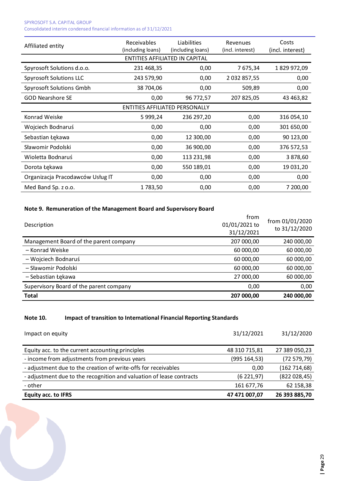| Affiliated entity                | Receivables<br>(including loans)      | Liabilities<br>(including loans) | Revenues<br>(incl. interest) | Costs<br>(incl. interest) |
|----------------------------------|---------------------------------------|----------------------------------|------------------------------|---------------------------|
|                                  | ENTITIES AFFILIATED IN CAPITAL        |                                  |                              |                           |
| Spyrosoft Solutions d.o.o.       | 231 468,35                            | 0,00                             | 7 675,34                     | 1 829 972,09              |
| <b>Spyrosoft Solutions LLC</b>   | 243 579,90                            | 0,00                             | 2 032 857,55                 | 0,00                      |
| <b>Spyrosoft Solutions Gmbh</b>  | 38 704,06                             | 0,00                             | 509,89                       | 0,00                      |
| <b>GOD Nearshore SE</b>          | 0,00                                  | 96 772,57                        | 207 825,05                   | 43 463,82                 |
|                                  | <b>ENTITIES AFFILIATED PERSONALLY</b> |                                  |                              |                           |
| Konrad Weiske                    | 5 999,24                              | 236 297,20                       | 0,00                         | 316 054,10                |
| Wojciech Bodnaruś                | 0,00                                  | 0,00                             | 0,00                         | 301 650,00                |
| Sebastian Łękawa                 | 0,00                                  | 12 300,00                        | 0,00                         | 90 123,00                 |
| Sławomir Podolski                | 0,00                                  | 36 900,00                        | 0,00                         | 376 572,53                |
| Wioletta Bodnaruś                | 0,00                                  | 113 231,98                       | 0,00                         | 3878,60                   |
| Dorota Łękawa                    | 0,00                                  | 550 189,01                       | 0,00                         | 19 031,20                 |
| Organizacja Pracodawców Usług IT | 0,00                                  | 0,00                             | 0,00                         | 0,00                      |
| Med Band Sp. z o.o.              | 1783,50                               | 0,00                             | 0,00                         | 7 200,00                  |

#### <span id="page-28-0"></span>**Note 9. Remuneration of the Management Board and Supervisory Board**

| Description                             | from<br>01/01/2021 to<br>31/12/2021 | from 01/01/2020<br>to 31/12/2020 |
|-----------------------------------------|-------------------------------------|----------------------------------|
| Management Board of the parent company  | 207 000,00                          | 240 000,00                       |
| - Konrad Weiske                         | 60 000,00                           | 60 000,00                        |
| - Wojciech Bodnaruś                     | 60 000,00                           | 60 000,00                        |
| - Sławomir Podolski                     | 60 000,00                           | 60 000,00                        |
| - Sebastian Łękawa                      | 27 000,00                           | 60 000,00                        |
| Supervisory Board of the parent company | 0,00                                | 0,00                             |
| <b>Total</b>                            | 207 000,00                          | 240 000,00                       |

# <span id="page-28-1"></span>**Note 10. Impact of transition to International Financial Reporting Standards**

| <b>Equity acc. to IFRS</b>                                           | 47 471 007,07 | 26 393 885,70 |
|----------------------------------------------------------------------|---------------|---------------|
| - other                                                              | 161 677,76    | 62 158,38     |
| - adjustment due to the recognition and valuation of lease contracts | (6221, 97)    | (822028, 45)  |
| - adjustment due to the creation of write-offs for receivables       | 0,00          | (162714, 68)  |
| - income from adjustments from previous years                        | (995 164, 53) | (72579,79)    |
| Equity acc. to the current accounting principles                     | 48 310 715,81 | 27 389 050,23 |
| Impact on equity                                                     | 31/12/2021    | 31/12/2020    |